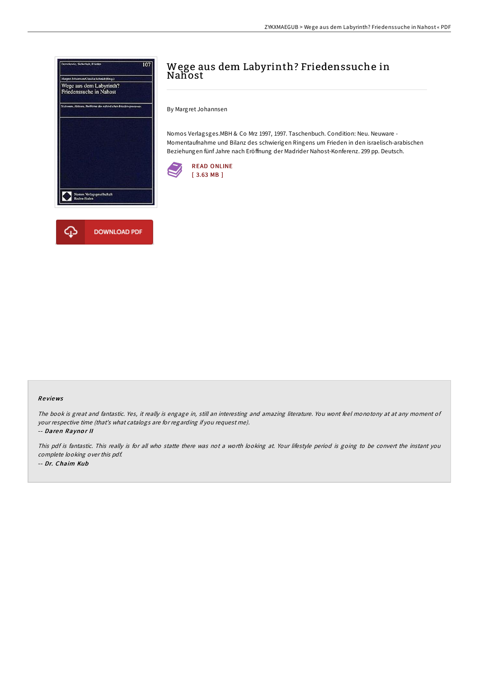

## Wege aus dem Labyrinth? Friedenssuche in Nahost

By Margret Johannsen

Nomos Verlagsges.MBH & Co Mrz 1997, 1997. Taschenbuch. Condition: Neu. Neuware - Momentaufnahme und Bilanz des schwierigen Ringens um Frieden in den israelisch-arabischen Beziehungen fünf Jahre nach Eröffnung der Madrider Nahost-Konferenz. 299 pp. Deutsch.



## Re views

The book is great and fantastic. Yes, it really is engage in, still an interesting and amazing literature. You wont feel monotony at at any moment of your respective time (that's what catalogs are for regarding if you request me).

-- Daren Raynor II

This pdf is fantastic. This really is for all who statte there was not <sup>a</sup> worth looking at. Your lifestyle period is going to be convert the instant you complete looking over this pdf. -- Dr. Chaim Kub